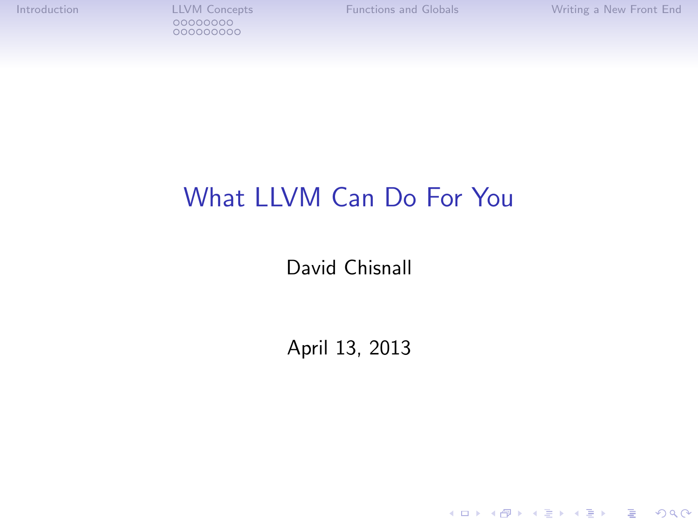[Introduction](#page-1-0) [LLVM Concepts](#page-9-0) [Functions and Globals](#page-27-0) [Writing a New Front End](#page-32-0) 000000000

K ロ ▶ K @ ▶ K 할 ▶ K 할 ▶ ... 할 → 9 Q @

# What LLVM Can Do For You

David Chisnall

April 13, 2013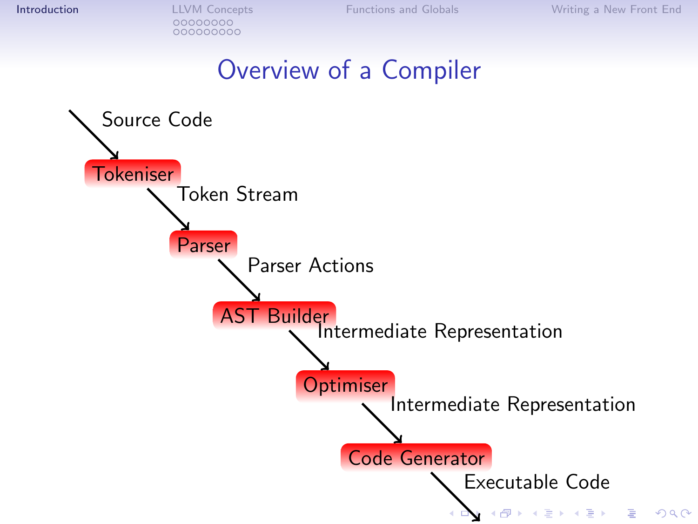## Overview of a Compiler

<span id="page-1-0"></span>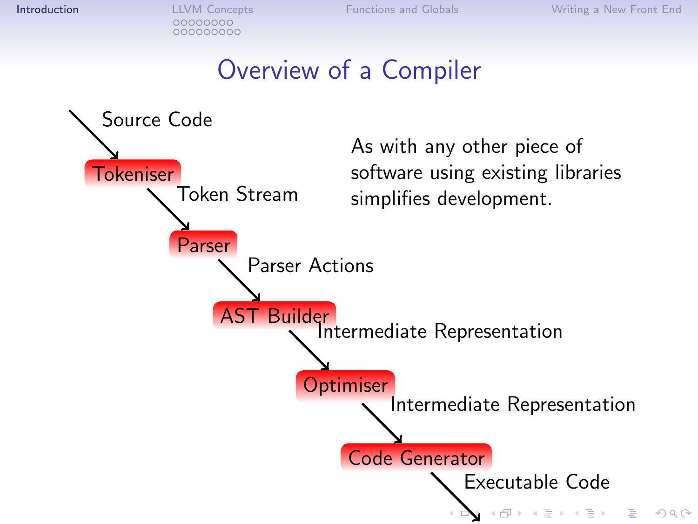## Overview of a Compiler

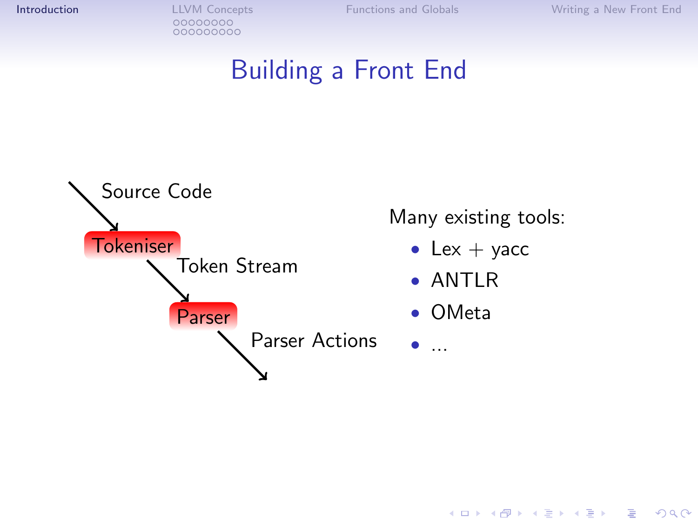**[Introduction](#page-1-0) LLVM** Concepts **Functions** and Globals **[Writing a New Front End](#page-32-0)**<br>
00000000 000000000

K ロ ▶ K @ ▶ K 할 > K 할 > 1 할 > 1 이익어

## Building a Front End

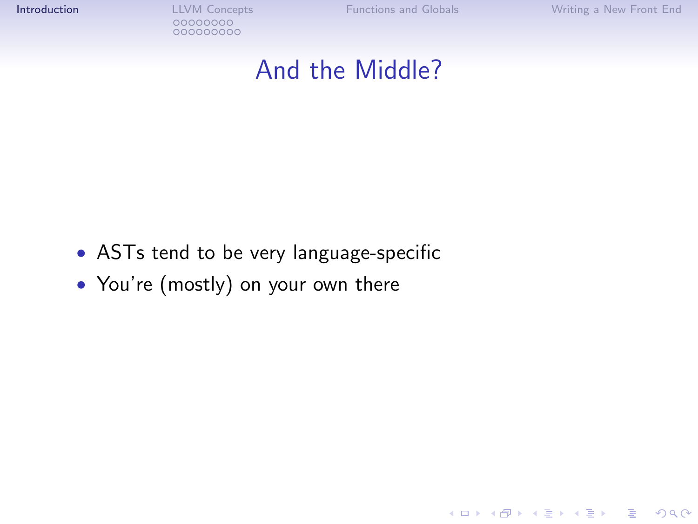**[Introduction](#page-1-0) LLVM** Concepts **Functions** and Globals **[Writing a New Front End](#page-32-0)**<br>
00000000 000000000

K ロ ▶ K @ ▶ K 할 > K 할 > 1 할 > 1 이익어

#### And the Middle?

- ASTs tend to be very language-specific
- You're (mostly) on your own there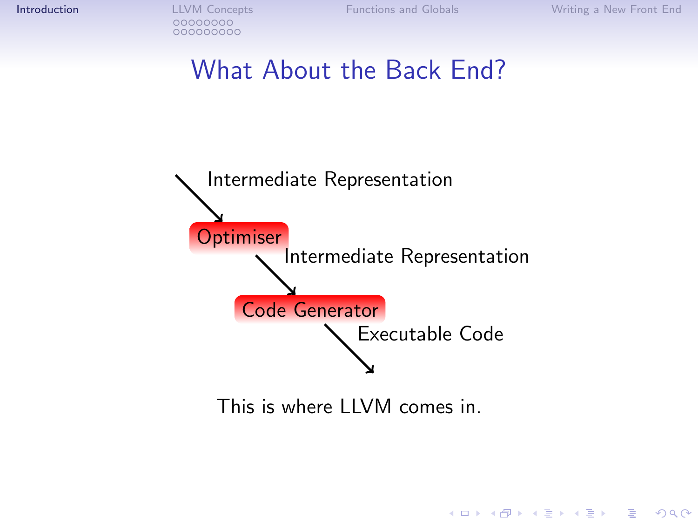K ロ > K @ > K 할 > K 할 > 1 할 : ⊙ Q Q^

### What About the Back End?



This is where LLVM comes in.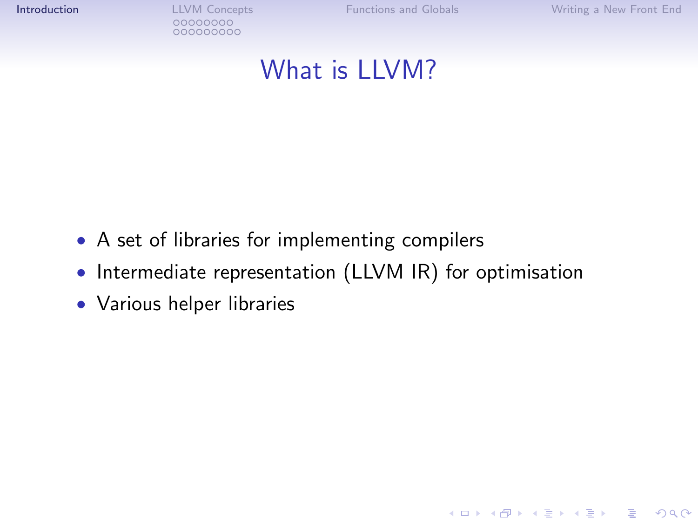**[Introduction](#page-1-0) LLVM** Concepts **Functions** and Globals **[Writing a New Front End](#page-32-0)**<br>
00000000 000000000

K ロ ▶ K @ ▶ K 할 > K 할 > 1 할 > 1 이익어

## What is LLVM?

- A set of libraries for implementing compilers
- Intermediate representation (LLVM IR) for optimisation
- Various helper libraries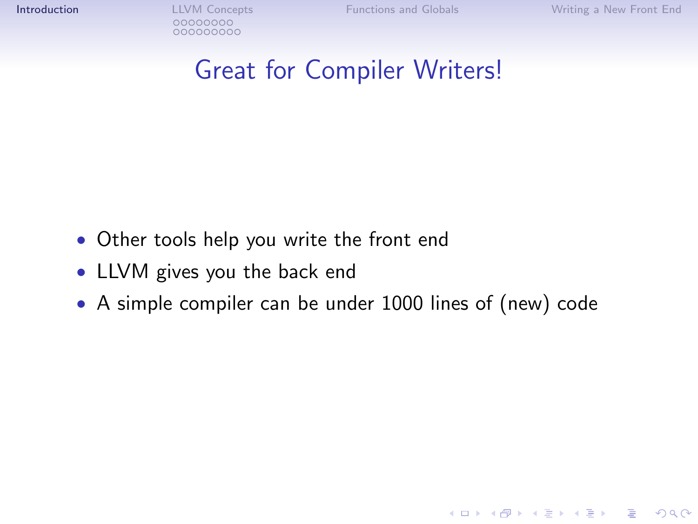**KOD KARD KED KED E VOOR** 

## Great for Compiler Writers!

- Other tools help you write the front end
- LLVM gives you the back end
- A simple compiler can be under 1000 lines of (new) code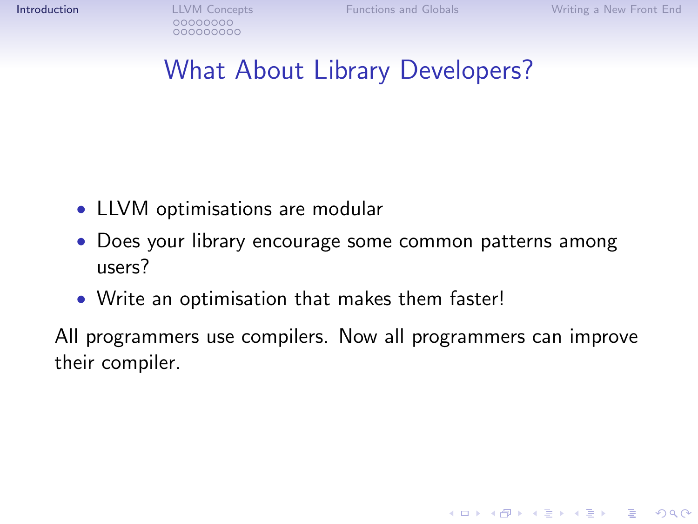**KOD KARD KED KED E VOOR** 

# What About Library Developers?

- LLVM optimisations are modular
- Does your library encourage some common patterns among users?
- Write an optimisation that makes them faster!

All programmers use compilers. Now all programmers can improve their compiler.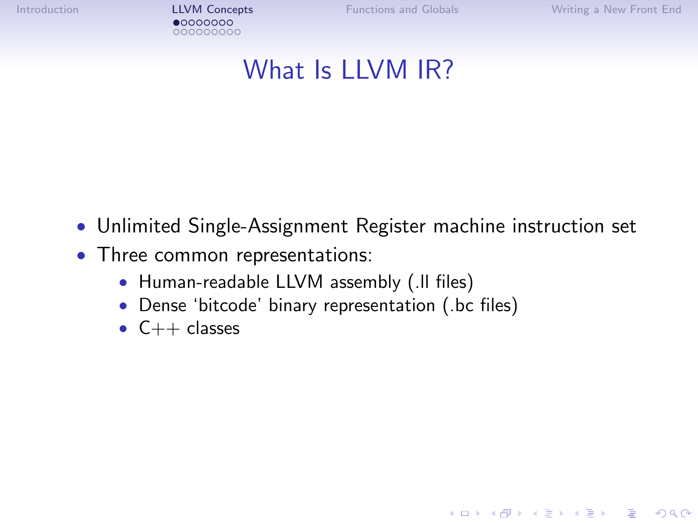[Introduction](#page-1-0) [LLVM Concepts](#page-9-0) [Functions and Globals](#page-27-0) [Writing a New Front End](#page-32-0) 000000000

K ロ ▶ K @ ▶ K 할 > K 할 > 1 할 > 1 이익어

## What Is LLVM IR?

- Unlimited Single-Assignment Register machine instruction set
- <span id="page-9-0"></span>• Three common representations:
	- Human-readable LLVM assembly (.ll files)
	- Dense 'bitcode' binary representation (.bc files)
	- $\bullet$  C++ classes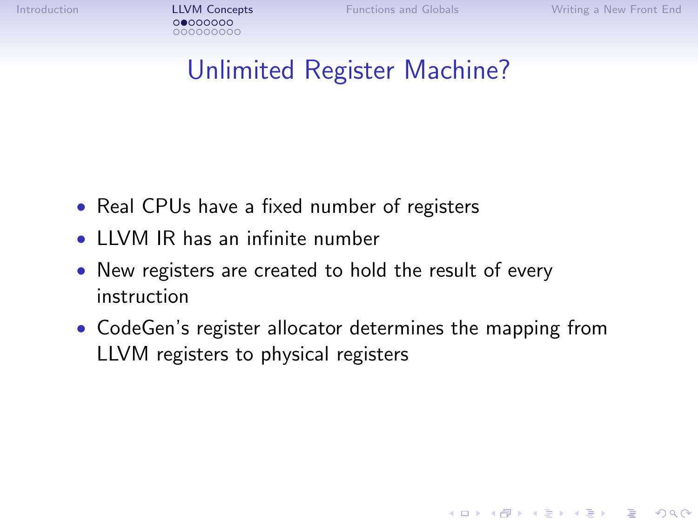**KOD KARD KED KED E YORA** 

# Unlimited Register Machine?

- Real CPUs have a fixed number of registers
- LLVM IR has an infinite number
- New registers are created to hold the result of every instruction
- CodeGen's register allocator determines the mapping from LLVM registers to physical registers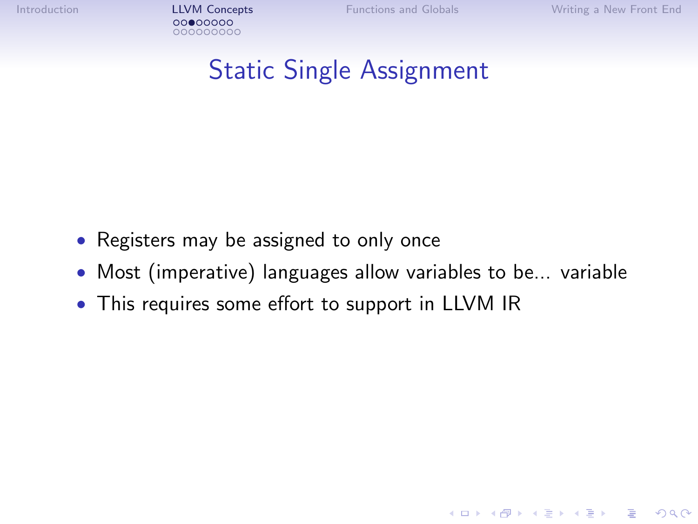[Introduction](#page-1-0) **[LLVM Concepts](#page-9-0)** [Functions and Globals](#page-27-0) [Writing a New Front End](#page-32-0)<br> **COOCOOCOOC** 000000000

**KOD KARD KED KED E VOOR** 

# Static Single Assignment

- Registers may be assigned to only once
- Most (imperative) languages allow variables to be... variable
- This requires some effort to support in LLVM IR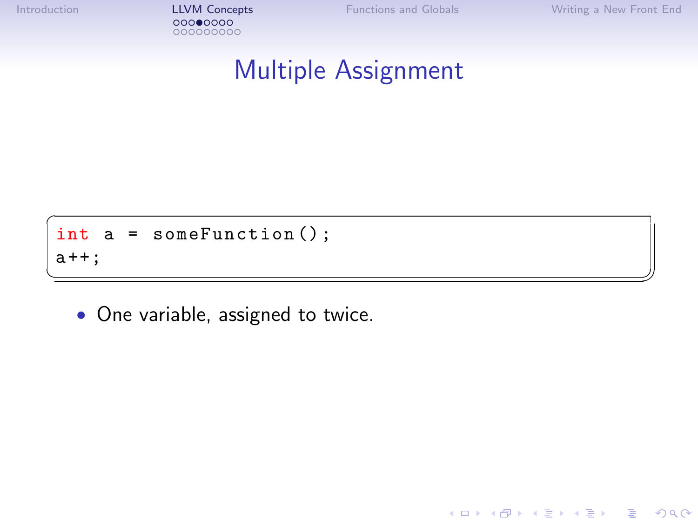[Introduction](#page-1-0) **[LLVM Concepts](#page-9-0)** [Functions and Globals](#page-27-0) [Writing a New Front End](#page-32-0)<br>
00000000 000000000

K ロ ▶ K @ ▶ K 할 > K 할 > 1 할 > 1 이익어

## Multiple Assignment

 $\overline{a}$ int a = someFunction () ;  $a + +$ ; ✝ ✆✠

• One variable, assigned to twice.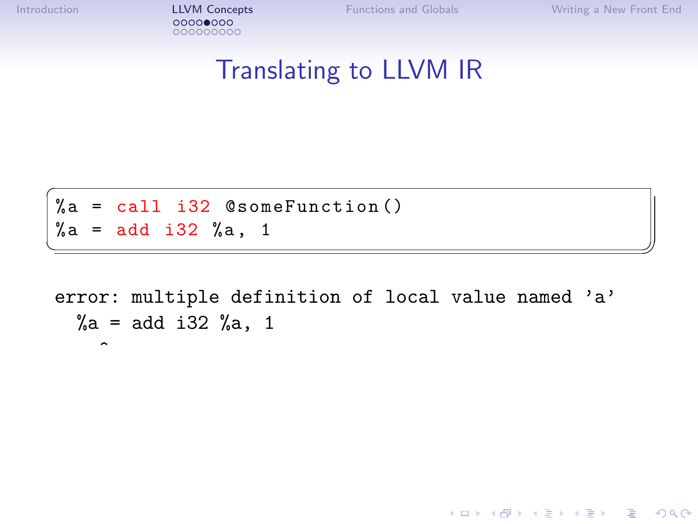$\hat{ }$ 

[Introduction](#page-1-0) [LLVM Concepts](#page-9-0) [Functions and Globals](#page-27-0) [Writing a New Front End](#page-32-0) 000000000

K ロ > K @ > K 할 > K 할 > 1 할 : ⊙ Q Q^

#### Translating to LLVM IR

 $\overline{C}$  $%a = cal1$  i32  $@someFunction()$  $\% a = add i32 \% a, 1$ 

error: multiple definition of local value named 'a'  $\%a = add$  i32  $\%a, 1$ 

✝ ✆✠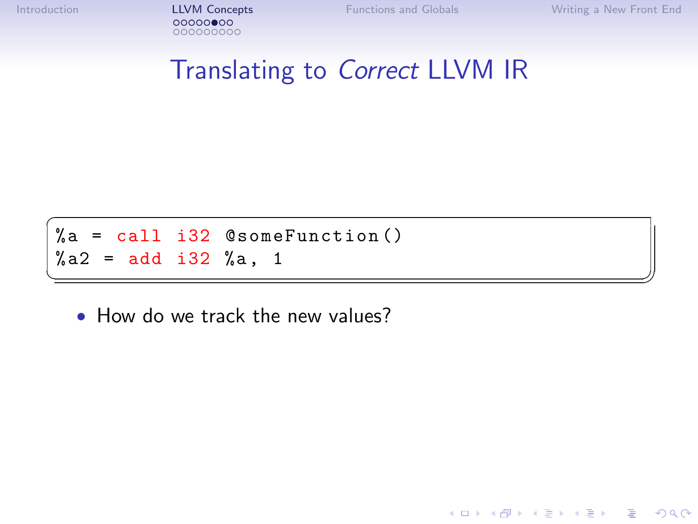[Introduction](#page-1-0) [LLVM Concepts](#page-9-0) [Functions and Globals](#page-27-0) [Writing a New Front End](#page-32-0) 000000000

K ロ > K @ > K 할 > K 할 > 1 할 : ⊙ Q Q^

## Translating to Correct LLVM IR

✝ ✆✠

 $\overline{C}$  $%a = cal1$  i32  $@someFunction()$  $%a2 = add i32 %a, 1$ 

• How do we track the new values?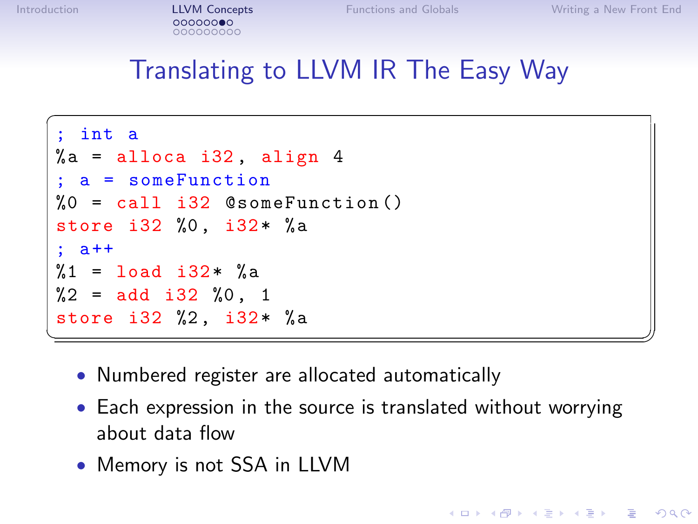**KORK STRAIN A BAR SHOP** 

## Translating to LLVM IR The Easy Way

```
\overline{a}int a
%a = alloca i32, align 4
; a = someFunction
%0 = \text{call } i32 \text{ } @someFunction()
store i32 %0, i32* %a
; a++
%1 = load i32* %3 =\%2 = add i32 \%0, 1
store i32 %2, i32* %a
✝ ✆✠
```
- Numbered register are allocated automatically
- Each expression in the source is translated without worrying about data flow
- Memory is not SSA in LLVM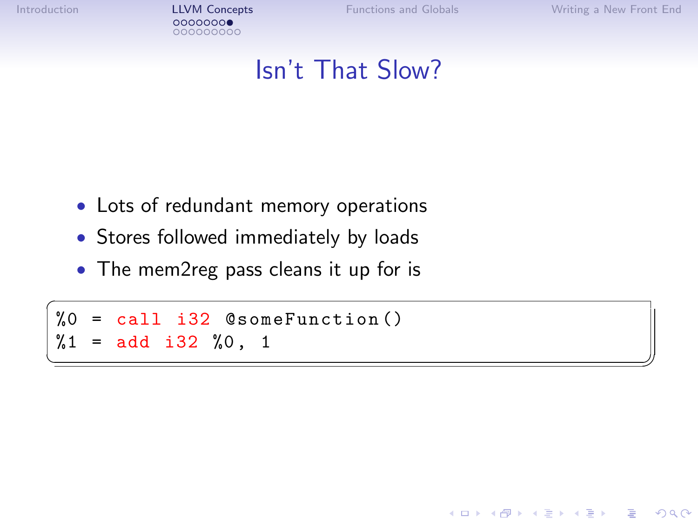[Introduction](#page-1-0) **[LLVM Concepts](#page-9-0)** [Functions and Globals](#page-27-0) [Writing a New Front End](#page-32-0)<br> **COOOOOOOO** 000000000

**KOD KARD KED KED E YORA** 

## Isn't That Slow?

✝ ✆✠

- Lots of redundant memory operations
- Stores followed immediately by loads
- The mem2reg pass cleans it up for is

 $\overline{a}$ %0 = call i32 @someFunction ()  $%1 = add i32 %0, 1$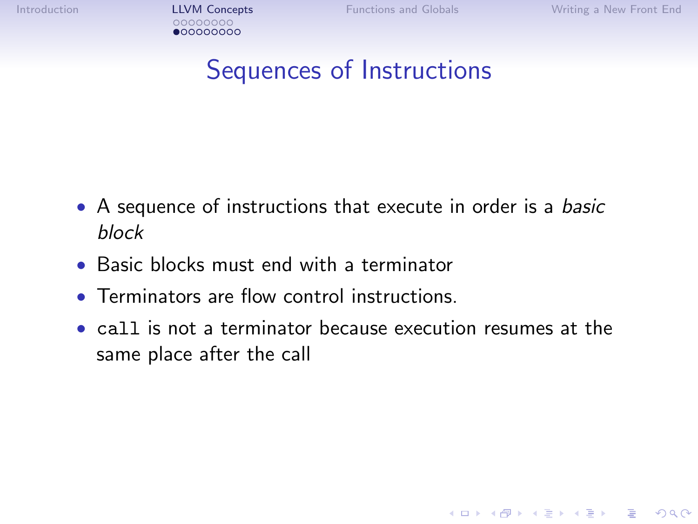**KOD KARD KED KED E YORA** 

## Sequences of Instructions

- A sequence of instructions that execute in order is a *basic* block
- Basic blocks must end with a terminator
- Terminators are flow control instructions.
- call is not a terminator because execution resumes at the same place after the call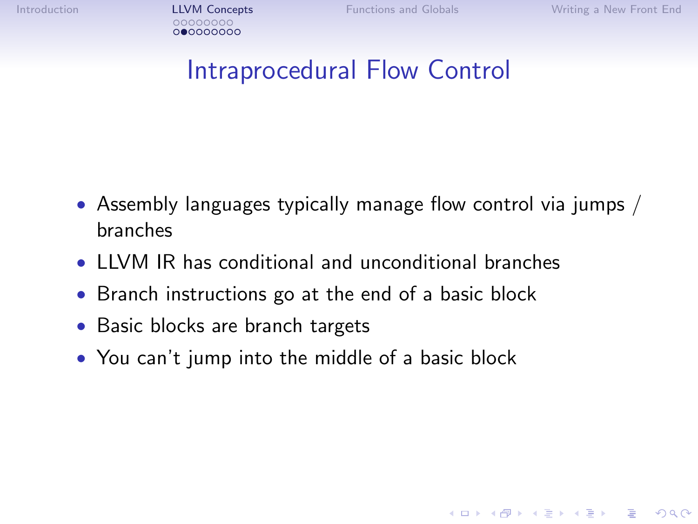**KOD KARD KED KED E YORA** 

# Intraprocedural Flow Control

- Assembly languages typically manage flow control via jumps  $/$ branches
- LLVM IR has conditional and unconditional branches
- Branch instructions go at the end of a basic block
- Basic blocks are branch targets
- You can't jump into the middle of a basic block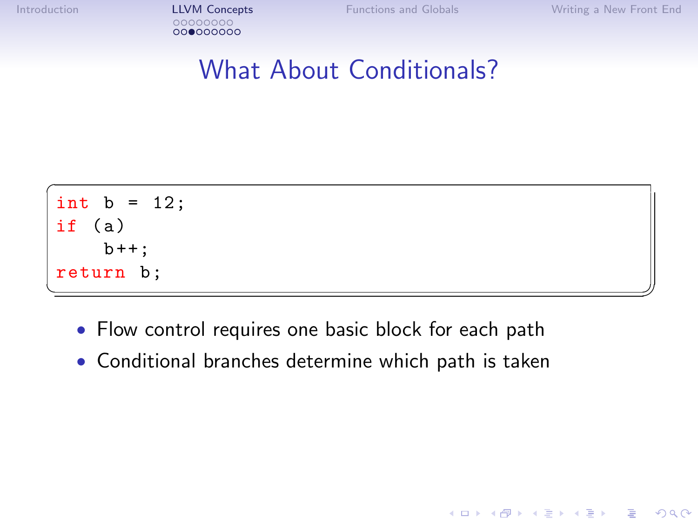[Introduction](#page-1-0) **[LLVM Concepts](#page-9-0)** [Functions and Globals](#page-27-0) [Writing a New Front End](#page-32-0)<br>
00000000 000000000

K ロ ▶ K @ ▶ K 할 > K 할 > 1 할 > 1 이익어

## What About Conditionals?

$$
\begin{array}{l}\n\text{int } b = 12; \\
\text{if } (a) \\
\text{b++}; \\
\text{return } b; \n\end{array}
$$

- Flow control requires one basic block for each path
- Conditional branches determine which path is taken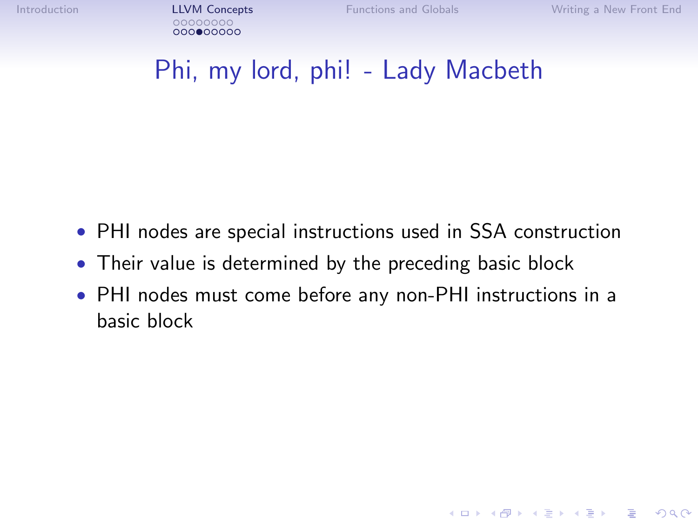**KOD KARD KED KED E VOOR** 

## Phi, my lord, phi! - Lady Macbeth

- PHI nodes are special instructions used in SSA construction
- Their value is determined by the preceding basic block
- PHI nodes must come before any non-PHI instructions in a basic block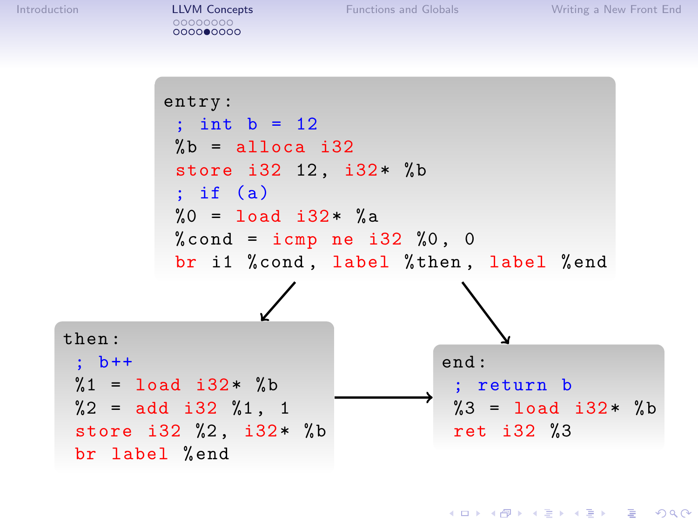**KOD KARD KED KED E YORA** 

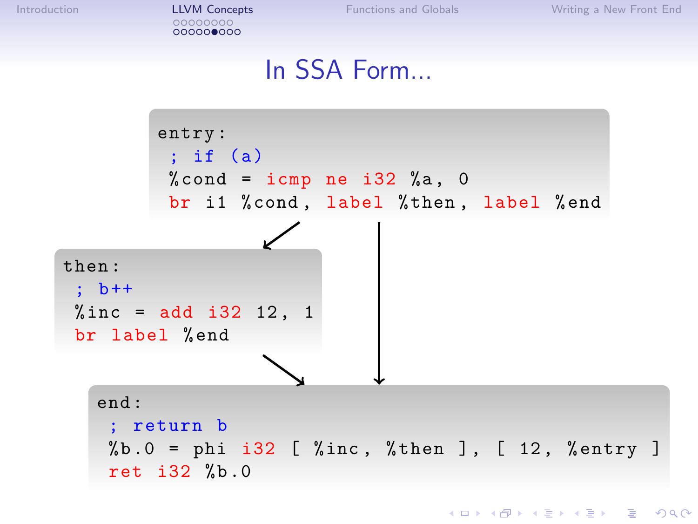[Introduction](#page-1-0) **[LLVM Concepts](#page-9-0)** [Functions and Globals](#page-27-0) [Writing a New Front End](#page-32-0)<br>
00000000 000000000

#### In SSA Form...

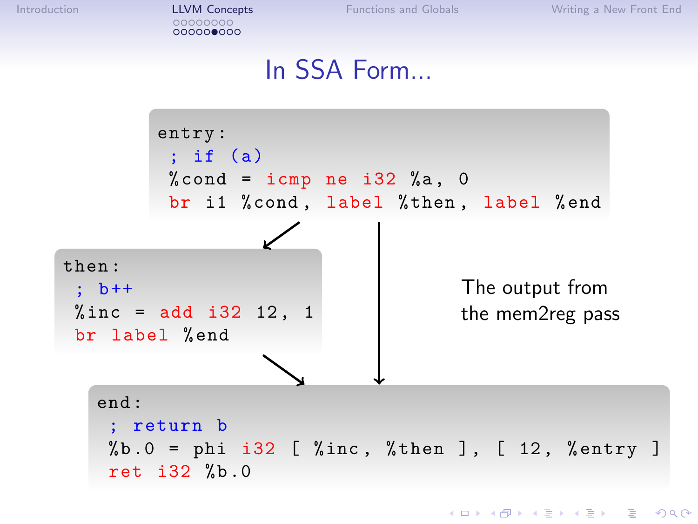[Introduction](#page-1-0) **[LLVM Concepts](#page-9-0)** [Functions and Globals](#page-27-0) [Writing a New Front End](#page-32-0)<br>
00000000 000000000

#### In SSA Form...

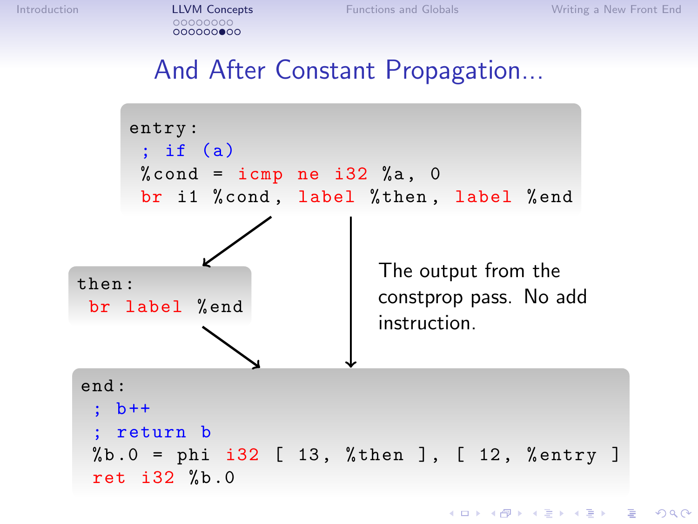## And After Constant Propagation...

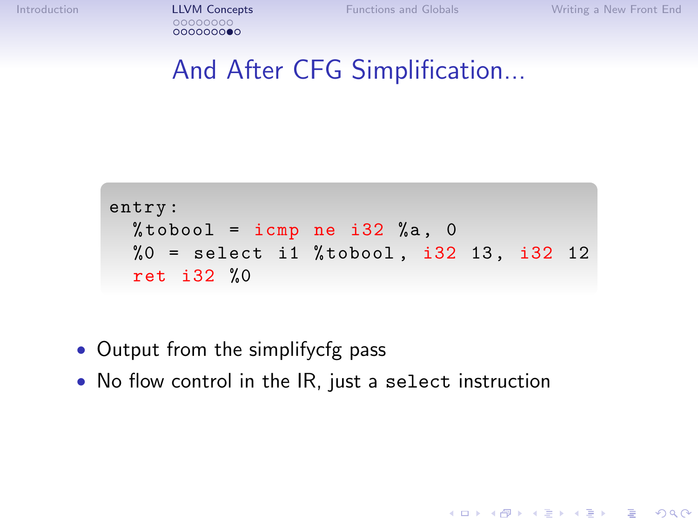[Introduction](#page-1-0) **[LLVM Concepts](#page-9-0)** [Functions and Globals](#page-27-0) [Writing a New Front End](#page-32-0)<br>
00000000

**KOD KARD KED KED E YORA** 

```
And After CFG Simplification...
```

```
entry :
 %tobool = icmp ne i32 %a, 0
  %0 = select i1 %tobool, i32 13, i32 12
  ret i32 %0
```
- Output from the simplifycfg pass
- No flow control in the IR, just a select instruction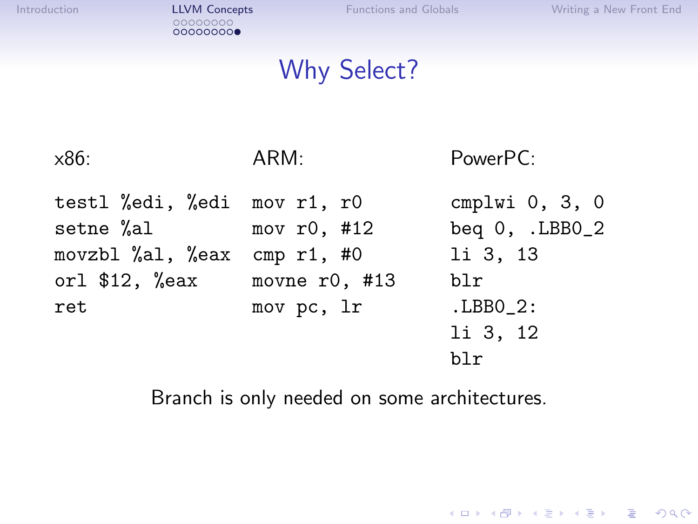イロト イ御 トイミト イミト ニミー りんぴ

## Why Select?

| $\times86$ :                                                                            | ARM:                                                             | PowerPC:                                                                                  |  |  |
|-----------------------------------------------------------------------------------------|------------------------------------------------------------------|-------------------------------------------------------------------------------------------|--|--|
| testl %edi, %edi mov r1, r0<br>setne %al<br>movzbl %al, %eax<br>orl $$12, %$ eax<br>ret | mov $r0, #12$<br>cmp $r1$ , #0<br>movne $r0$ , #13<br>mov pc, 1r | cmplwi $0, 3, 0$<br>beq $0$ , .LBB $0_2$<br>li 3, 13<br>blr<br>LBB0 2:<br>li 3, 12<br>blr |  |  |
|                                                                                         |                                                                  |                                                                                           |  |  |

Branch is only needed on some architectures.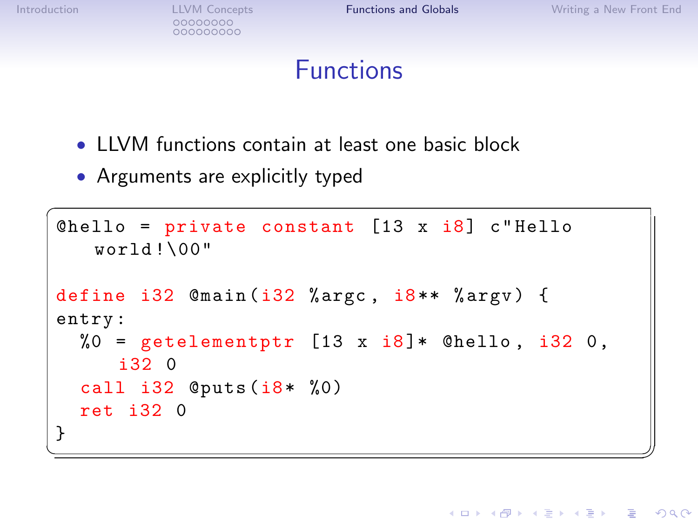000000000

**KOD KARD KED KED E YORA** 

## Functions

- LLVM functions contain at least one basic block
- Arguments are explicitly typed

```
\overline{a}@hello = private constant [13 x i8] c"Helloworld !\00"
 define i32 \mathbb{S} and (i32 \text{ %argc}, i8** \text{ %argv}) {
 entry :
      %0 = getelementptr [13 \times i8] * Chello, i32 0,
              i32 0
      call i32 @puts (i8* %0)
      ret i32 0
 }
\begin{picture}(42,10) \put(0,0){\dashbox{0.5}(7,0){ }} \put(15,0){\dashbox{0.5}(7,0){ }} \put(15,0){\dashbox{0.5}(7,0){ }} \put(15,0){\dashbox{0.5}(7,0){ }} \put(15,0){\dashbox{0.5}(7,0){ }} \put(15,0){\dashbox{0.5}(7,0){ }} \put(15,0){\dashbox{0.5}(7,0){ }} \put(15,0){\dashbox{0.5}(7,0){ }} \put(15,0){\dashbox{0.5}(7,0){ }} \put(15,0){\dashbox{0.5}(7,0){ }}
```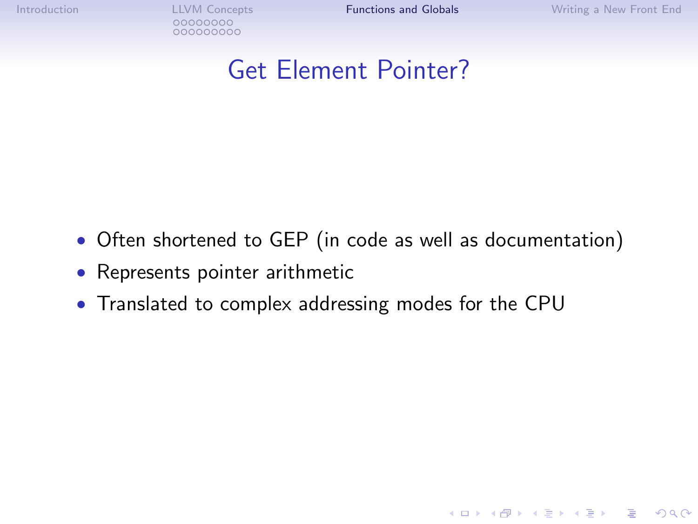000000000

[Introduction](#page-1-0) **LLVM** Concepts **[Functions and Globals](#page-27-0)** [Writing a New Front End](#page-32-0)

K ロ ▶ K @ ▶ K 할 > K 할 > 1 할 > 1 이익어

## Get Element Pointer?

- Often shortened to GEP (in code as well as documentation)
- Represents pointer arithmetic
- Translated to complex addressing modes for the CPU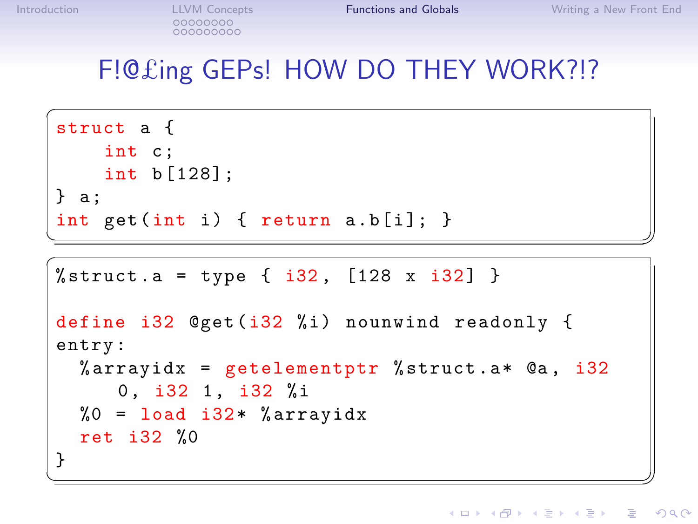## F!@£ing GEPs! HOW DO THEY WORK?!?

```
\overline{C}struct a {
     int c;
     int b [128];
} a:
int get (int i) { return a.b[i]; }
```

```
✝ ✆✠ ✞
%struct.a = type { i32, [128 x i32] }
 define i32 Qget(i32 \t/6i) nounwind readonly {
 entry :
     % arrayidx = getelementptr % struct. a* @a, i32
            0, i32 1, i32 %i
     %0 = load i32* % arrayidx
     ret i32 %0
 }
\overline{\phantom{a}} \overline{\phantom{a}} \overline{\phantom{a}} \overline{\phantom{a}} \overline{\phantom{a}} \overline{\phantom{a}} \overline{\phantom{a}} \overline{\phantom{a}} \overline{\phantom{a}} \overline{\phantom{a}} \overline{\phantom{a}} \overline{\phantom{a}} \overline{\phantom{a}} \overline{\phantom{a}} \overline{\phantom{a}} \overline{\phantom{a}} \overline{\phantom{a}} \overline{\phantom{a}} \overline{\
```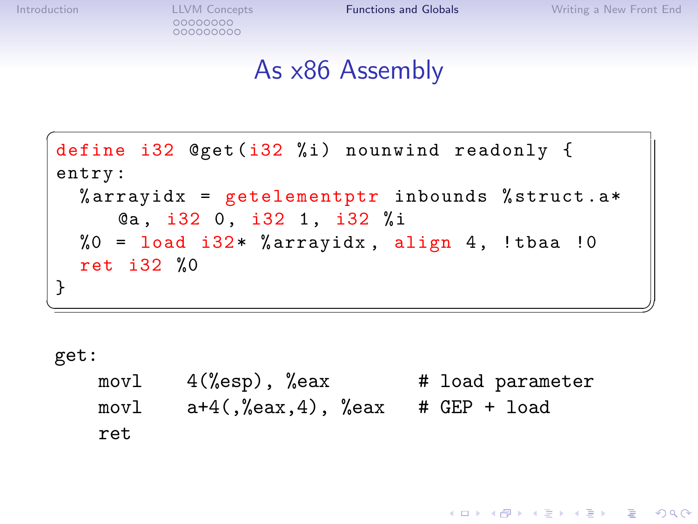[Introduction](#page-1-0) **LLVM** Concepts **[Functions and Globals](#page-27-0)** [Writing a New Front End](#page-32-0)<br>
000000000 000000000

**KOD KARD KED KED E YORA** 

#### As x86 Assembly

```
\overline{C}define i32 Qget(i32 % i) nounwind readonly {
entry :
  %arrayidx = getelementptr inbounds %struct.a*
    Ca, i32 0, i32 1, i32 %i
  %0 = load i32* %arrayidx, align 4, !tbaa !0
  ret i32 %0
}
✝ ✆✠
```
get:

| movl | 4(%esp), %eax                     | # load parameter |
|------|-----------------------------------|------------------|
| movl | a+4(,%eax,4), %eax = # GEP + load |                  |
| ret  |                                   |                  |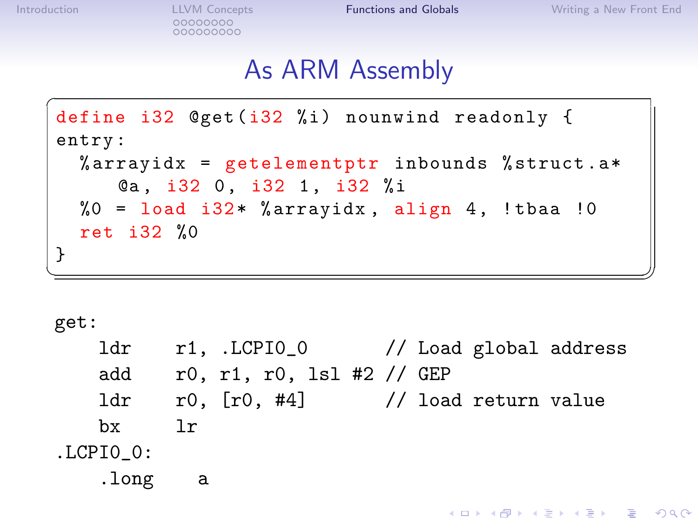K ロ ▶ K @ ▶ K 할 ▶ K 할 ▶ ... 할 → 9 Q @

#### As ARM Assembly

```
\overline{C}define i32 @get(i32 %i) nounwind readonly {
entry :
  \%arrayidx = getelementptr inbounds \%struct.a*
    Ca, i32 0, i32 1, i32 %i
  %0 = load i32* %arrayidx, align 4, !tbaa !0
  ret i32 %0
}
✝ ✆✠
```
get:

|               | 1dr r1, .LCPIO_0 // Load global address   |  |  |  |
|---------------|-------------------------------------------|--|--|--|
| add           | r0, r1, r0, lsl #2 // GEP                 |  |  |  |
|               | $1dr$ r0, $[r0, #4]$ // load return value |  |  |  |
| bx            | $\exists r$                               |  |  |  |
| $.LCPIO$ $0:$ |                                           |  |  |  |
| .long         | - a                                       |  |  |  |